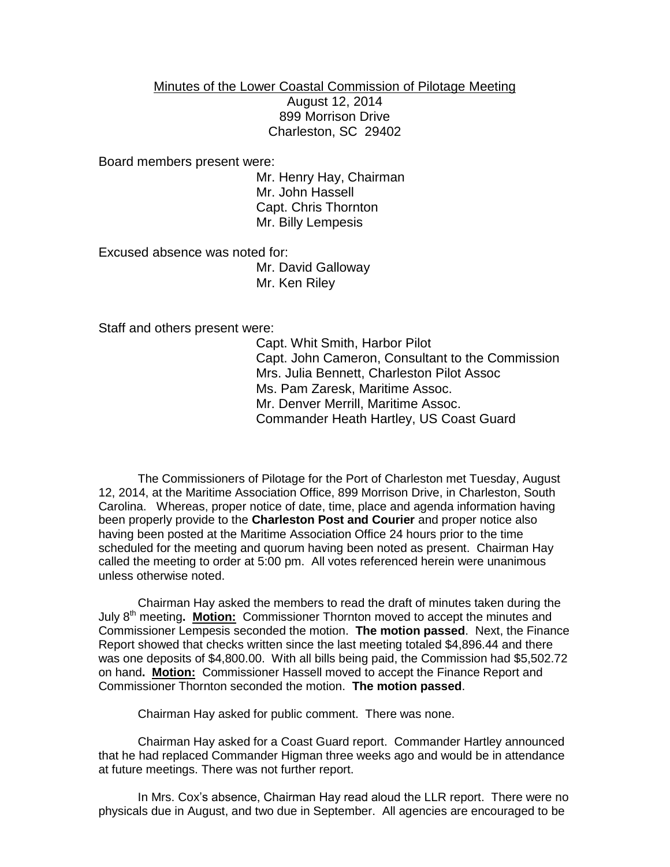Minutes of the Lower Coastal Commission of Pilotage Meeting August 12, 2014 899 Morrison Drive Charleston, SC 29402

Board members present were:

Mr. Henry Hay, Chairman Mr. John Hassell Capt. Chris Thornton Mr. Billy Lempesis

Excused absence was noted for:

Mr. David Galloway Mr. Ken Riley

Staff and others present were:

Capt. Whit Smith, Harbor Pilot Capt. John Cameron, Consultant to the Commission Mrs. Julia Bennett, Charleston Pilot Assoc Ms. Pam Zaresk, Maritime Assoc. Mr. Denver Merrill, Maritime Assoc. Commander Heath Hartley, US Coast Guard

The Commissioners of Pilotage for the Port of Charleston met Tuesday, August 12, 2014, at the Maritime Association Office, 899 Morrison Drive, in Charleston, South Carolina. Whereas, proper notice of date, time, place and agenda information having been properly provide to the **Charleston Post and Courier** and proper notice also having been posted at the Maritime Association Office 24 hours prior to the time scheduled for the meeting and quorum having been noted as present. Chairman Hay called the meeting to order at 5:00 pm. All votes referenced herein were unanimous unless otherwise noted.

Chairman Hay asked the members to read the draft of minutes taken during the July 8<sup>th</sup> meeting. **Motion:** Commissioner Thornton moved to accept the minutes and Commissioner Lempesis seconded the motion. **The motion passed**. Next, the Finance Report showed that checks written since the last meeting totaled \$4,896.44 and there was one deposits of \$4,800.00. With all bills being paid, the Commission had \$5,502.72 on hand**. Motion:** Commissioner Hassell moved to accept the Finance Report and Commissioner Thornton seconded the motion. **The motion passed**.

Chairman Hay asked for public comment. There was none.

Chairman Hay asked for a Coast Guard report. Commander Hartley announced that he had replaced Commander Higman three weeks ago and would be in attendance at future meetings. There was not further report.

In Mrs. Cox's absence, Chairman Hay read aloud the LLR report. There were no physicals due in August, and two due in September. All agencies are encouraged to be